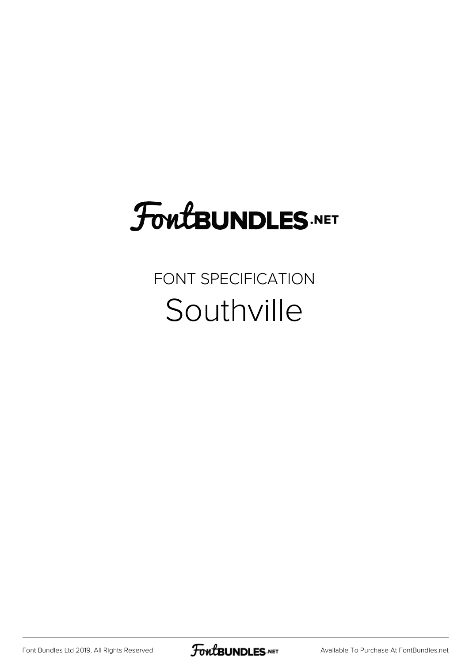# **FoutBUNDLES.NET**

### FONT SPECIFICATION Southville

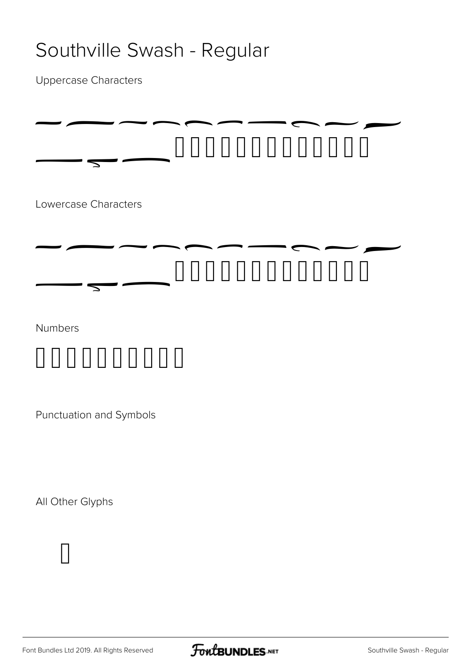### Southville Swash - Regular

Uppercase Characters



Punctuation and Symbols

All Other Glyphs



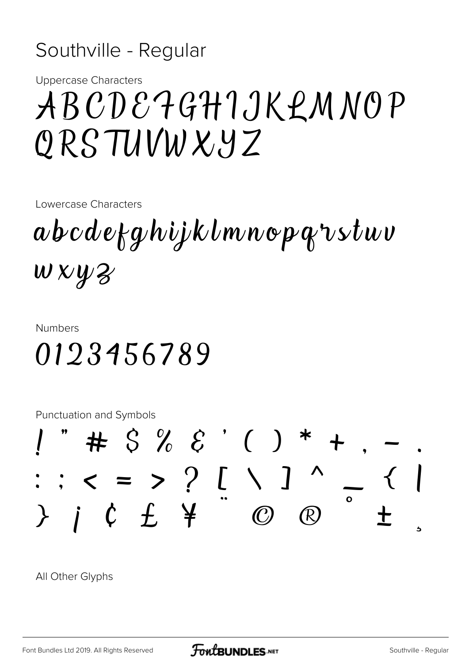#### Southville - Regular

**Uppercase Characters** 

# ABCDE7GHIJKLMNOP ORSTUVWXYZ

Lowercase Characters

abcdefghijklmnopqrstuv  $W$  X  $\mathcal{Y}$   $\mathcal{Z}$ 

#### **Numbers**

## 0123456789

**Punctuation and Symbols** 



All Other Glyphs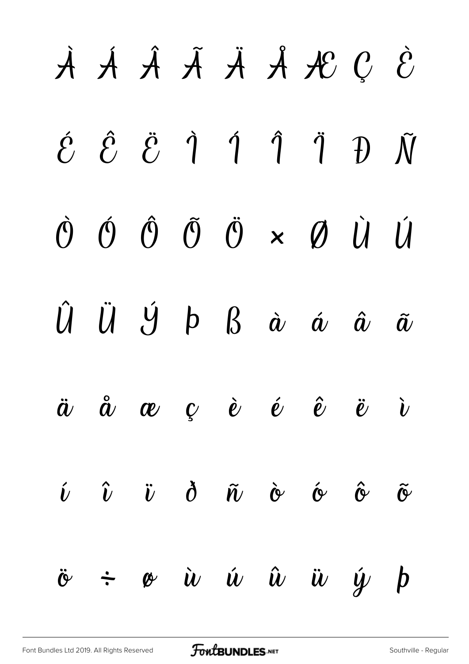|                            |  |  | A A A A A A C È                                                                                                                                                                                                                                   |  |
|----------------------------|--|--|---------------------------------------------------------------------------------------------------------------------------------------------------------------------------------------------------------------------------------------------------|--|
|                            |  |  | $\acute{e}$ $\acute{e}$ $\acute{e}$ $\acute{q}$ $\acute{q}$ $\acute{q}$ $\acute{q}$ $\acute{q}$ $\acute{p}$ $\tilde{N}$                                                                                                                           |  |
|                            |  |  | $\dot{\mathcal{O}}\hspace{0.15cm} \dot{\mathcal{O}}\hspace{0.15cm} \dot{\mathcal{O}}\hspace{0.15cm} \ddot{\mathcal{O}}\hspace{0.15cm} \times \hspace{0.15cm} \dot{\mathcal{O}}\hspace{0.15cm} \dot{\mathcal{U}}\hspace{0.15cm} \dot{\mathcal{U}}$ |  |
|                            |  |  | $\hat{U} \quad \hat{U} \quad \hat{U} \quad \hat{D} \quad B \quad \hat{\alpha} \quad \hat{\alpha} \quad \hat{\alpha} \quad \hat{\alpha}$                                                                                                           |  |
|                            |  |  | $\ddot{a}$ $\ddot{a}$ $\alpha$ $\beta$ $\dot{e}$ $\dot{e}$ $\ddot{e}$ $\ddot{v}$ $\dot{v}$                                                                                                                                                        |  |
|                            |  |  | $\hat{\nu}$ $\hat{\nu}$ $\dot{\upsilon}$ $\delta$ $\tilde{\upsilon}$ $\dot{\upsilon}$ $\dot{\upsilon}$ $\delta$ $\tilde{\upsilon}$ $\tilde{\upsilon}$                                                                                             |  |
| $\ddot{\mathbf{c}}$ $\div$ |  |  | $\phi$ <i>ù ú û ü ý þ</i>                                                                                                                                                                                                                         |  |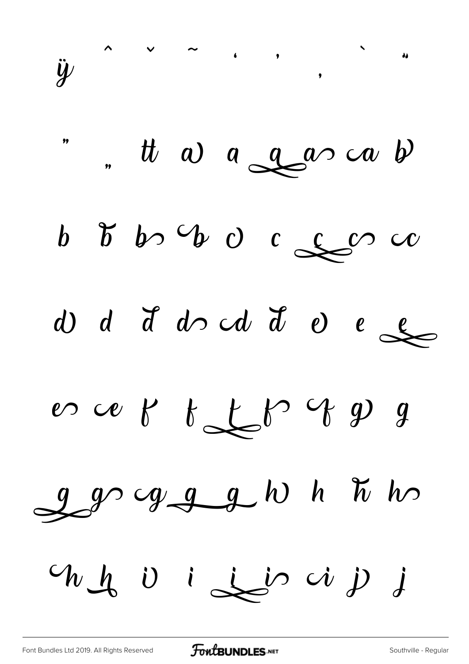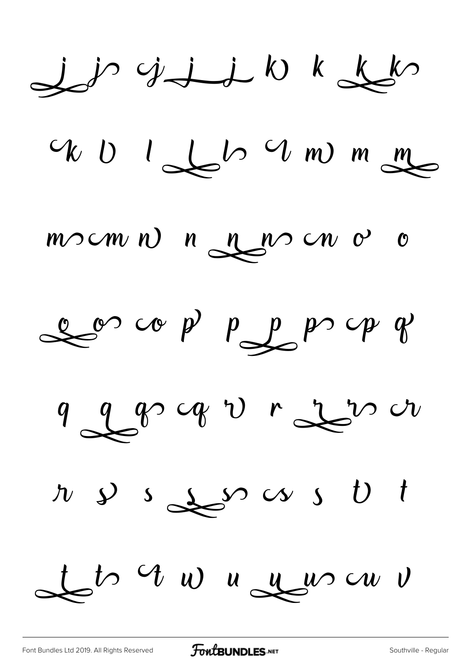$j$   $j$   $j$   $j$   $j$   $k$   $k$   $k$ 

WU I LLO UM mm

 $m$   $\sim$   $m$   $n$   $\sim$   $n$   $\sim$   $\sim$   $\sim$   $\sim$   $\sim$ 

 $\mathcal{L}^\infty$  copp  $\mathcal{P}$  and  $\mathcal{P}$ 

9 2 8 9 1 2 2 2 4

 $x \rightarrow s$ 

to un nouveau